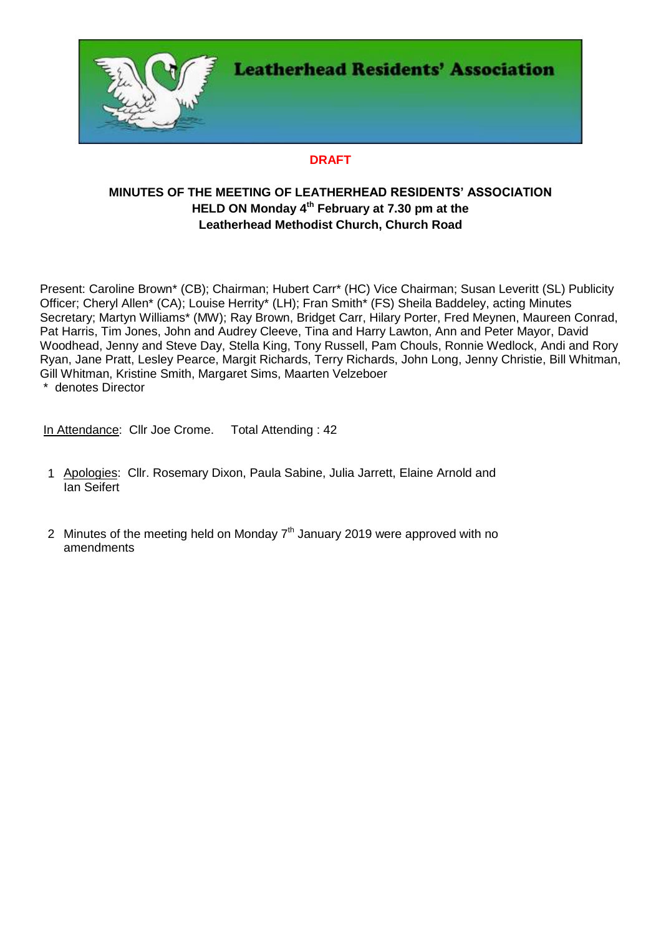

# **DRAFT**

# **MINUTES OF THE MEETING OF LEATHERHEAD RESIDENTS' ASSOCIATION HELD ON Monday 4 th February at 7.30 pm at the Leatherhead Methodist Church, Church Road**

Present: Caroline Brown\* (CB); Chairman; Hubert Carr\* (HC) Vice Chairman; Susan Leveritt (SL) Publicity Officer; Cheryl Allen\* (CA); Louise Herrity\* (LH); Fran Smith\* (FS) Sheila Baddeley, acting Minutes Secretary; Martyn Williams\* (MW); Ray Brown, Bridget Carr, Hilary Porter, Fred Meynen, Maureen Conrad, Pat Harris, Tim Jones, John and Audrey Cleeve, Tina and Harry Lawton, Ann and Peter Mayor, David Woodhead, Jenny and Steve Day, Stella King, Tony Russell, Pam Chouls, Ronnie Wedlock, Andi and Rory Ryan, Jane Pratt, Lesley Pearce, Margit Richards, Terry Richards, John Long, Jenny Christie, Bill Whitman, Gill Whitman, Kristine Smith, Margaret Sims, Maarten Velzeboer

\* denotes Director

In Attendance: Cllr Joe Crome. Total Attending: 42

- 1 Apologies: Cllr. Rosemary Dixon, Paula Sabine, Julia Jarrett, Elaine Arnold and Ian Seifert
- 2 Minutes of the meeting held on Monday  $7<sup>th</sup>$  January 2019 were approved with no amendments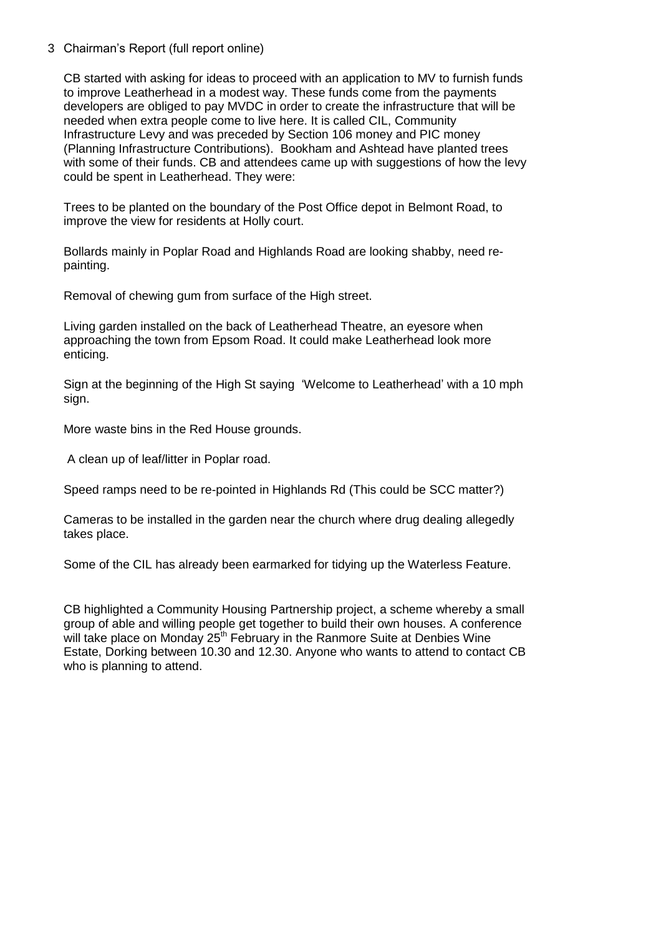#### 3 Chairman's Report (full report online)

CB started with asking for ideas to proceed with an application to MV to furnish funds to improve Leatherhead in a modest way. These funds come from the payments developers are obliged to pay MVDC in order to create the infrastructure that will be needed when extra people come to live here. It is called CIL, Community Infrastructure Levy and was preceded by Section 106 money and PIC money (Planning Infrastructure Contributions). Bookham and Ashtead have planted trees with some of their funds. CB and attendees came up with suggestions of how the levy could be spent in Leatherhead. They were:

Trees to be planted on the boundary of the Post Office depot in Belmont Road, to improve the view for residents at Holly court.

Bollards mainly in Poplar Road and Highlands Road are looking shabby, need repainting.

Removal of chewing gum from surface of the High street.

Living garden installed on the back of Leatherhead Theatre, an eyesore when approaching the town from Epsom Road. It could make Leatherhead look more enticing.

Sign at the beginning of the High St saying 'Welcome to Leatherhead' with a 10 mph sign.

More waste bins in the Red House grounds.

A clean up of leaf/litter in Poplar road.

Speed ramps need to be re-pointed in Highlands Rd (This could be SCC matter?)

Cameras to be installed in the garden near the church where drug dealing allegedly takes place.

Some of the CIL has already been earmarked for tidying up the Waterless Feature.

CB highlighted a Community Housing Partnership project, a scheme whereby a small group of able and willing people get together to build their own houses. A conference will take place on Monday  $25<sup>th</sup>$  February in the Ranmore Suite at Denbies Wine Estate, Dorking between 10.30 and 12.30. Anyone who wants to attend to contact CB who is planning to attend.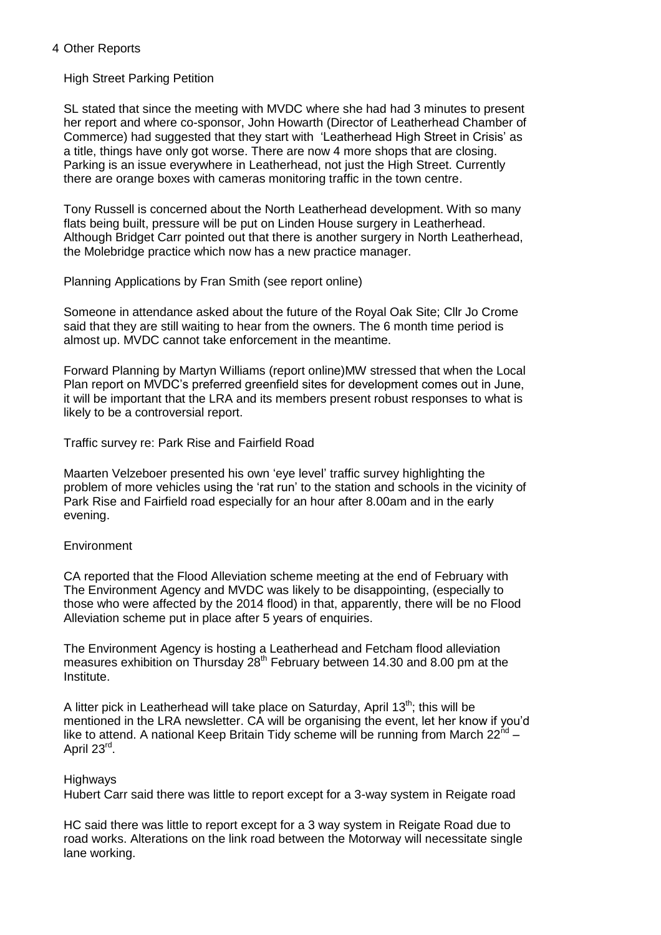#### 4 Other Reports

### High Street Parking Petition

SL stated that since the meeting with MVDC where she had had 3 minutes to present her report and where co-sponsor, John Howarth (Director of Leatherhead Chamber of Commerce) had suggested that they start with 'Leatherhead High Street in Crisis' as a title, things have only got worse. There are now 4 more shops that are closing. Parking is an issue everywhere in Leatherhead, not just the High Street. Currently there are orange boxes with cameras monitoring traffic in the town centre.

Tony Russell is concerned about the North Leatherhead development. With so many flats being built, pressure will be put on Linden House surgery in Leatherhead. Although Bridget Carr pointed out that there is another surgery in North Leatherhead, the Molebridge practice which now has a new practice manager.

Planning Applications by Fran Smith (see report online)

Someone in attendance asked about the future of the Royal Oak Site; Cllr Jo Crome said that they are still waiting to hear from the owners. The 6 month time period is almost up. MVDC cannot take enforcement in the meantime.

Forward Planning by Martyn Williams (report online)MW stressed that when the Local Plan report on MVDC's preferred greenfield sites for development comes out in June, it will be important that the LRA and its members present robust responses to what is likely to be a controversial report.

Traffic survey re: Park Rise and Fairfield Road

Maarten Velzeboer presented his own 'eye level' traffic survey highlighting the problem of more vehicles using the 'rat run' to the station and schools in the vicinity of Park Rise and Fairfield road especially for an hour after 8.00am and in the early evening.

## **Environment**

CA reported that the Flood Alleviation scheme meeting at the end of February with The Environment Agency and MVDC was likely to be disappointing, (especially to those who were affected by the 2014 flood) in that, apparently, there will be no Flood Alleviation scheme put in place after 5 years of enquiries.

The Environment Agency is hosting a Leatherhead and Fetcham flood alleviation measures exhibition on Thursday  $28<sup>th</sup>$  February between 14.30 and 8.00 pm at the Institute.

A litter pick in Leatherhead will take place on Saturday, April 13<sup>th</sup>; this will be mentioned in the LRA newsletter. CA will be organising the event, let her know if you'd like to attend. A national Keep Britain Tidy scheme will be running from March  $22^{nd}$  – April 23<sup>rd</sup>.

## Highways

Hubert Carr said there was little to report except for a 3-way system in Reigate road

HC said there was little to report except for a 3 way system in Reigate Road due to road works. Alterations on the link road between the Motorway will necessitate single lane working.